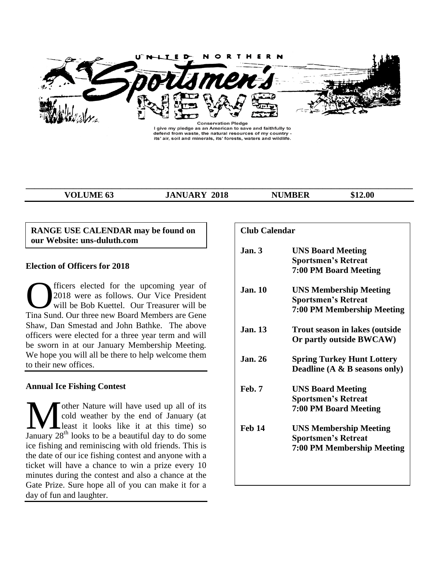

I give my pledge as an American to save and faithfully to defend from waste, the natural resources of my country -<br>its' air, soil and minerals, its' forests, waters and wildlife.

**\_\_\_\_\_\_\_\_\_\_\_\_\_\_\_\_\_\_\_\_\_\_\_\_\_\_\_\_\_\_\_\_\_\_\_\_\_\_\_\_\_\_\_\_\_\_\_\_\_\_\_\_\_\_\_\_\_\_\_\_\_\_\_\_\_\_\_\_\_\_\_\_\_\_\_\_\_\_\_\_\_\_\_\_\_\_\_\_\_\_**

**VOLUME 63 JANUARY 2018 NUMBER** \$12.00

### **RANGE USE CALENDAR may be found on our Website: uns-duluth.com**

### **Election of Officers for 2018**

fficers elected for the upcoming year of 2018 were as follows. Our Vice President will be Bob Kuettel. Our Treasurer will be **CERN SURVEY CONTRES**<br>Tina Sund. Our three new Board Members are Gene Tina Sund. Our three new Board Members are Gene Shaw, Dan Smestad and John Bathke. The above officers were elected for a three year term and will be sworn in at our January Membership Meeting. We hope you will all be there to help welcome them to their new offices.

### **Annual Ice Fishing Contest**

other Nature will have used up all of its cold weather by the end of January (at least it looks like it at this time) so **January 28<sup>th</sup>** looks to be a beautiful day to do some January 28<sup>th</sup> looks to be a beautiful day to do some ice fishing and reminiscing with old friends. This is the date of our ice fishing contest and anyone with a ticket will have a chance to win a prize every 10 minutes during the contest and also a chance at the Gate Prize. Sure hope all of you can make it for a day of fun and laughter.

| <b>Club Calendar</b> |                                                                                           |
|----------------------|-------------------------------------------------------------------------------------------|
| Jan.3                | <b>UNS Board Meeting</b><br><b>Sportsmen's Retreat</b><br>7:00 PM Board Meeting           |
| <b>Jan. 10</b>       | <b>UNS Membership Meeting</b><br><b>Sportsmen's Retreat</b><br>7:00 PM Membership Meeting |
| <b>Jan. 13</b>       | <b>Trout season in lakes (outside</b><br>Or partly outside BWCAW)                         |
| <b>Jan. 26</b>       | <b>Spring Turkey Hunt Lottery</b><br>Deadline $(A \& B$ seasons only)                     |
| Feb. 7               | <b>UNS Board Meeting</b><br><b>Sportsmen's Retreat</b><br><b>7:00 PM Board Meeting</b>    |
| <b>Feb 14</b>        | <b>UNS Membership Meeting</b><br><b>Sportsmen's Retreat</b><br>7:00 PM Membership Meeting |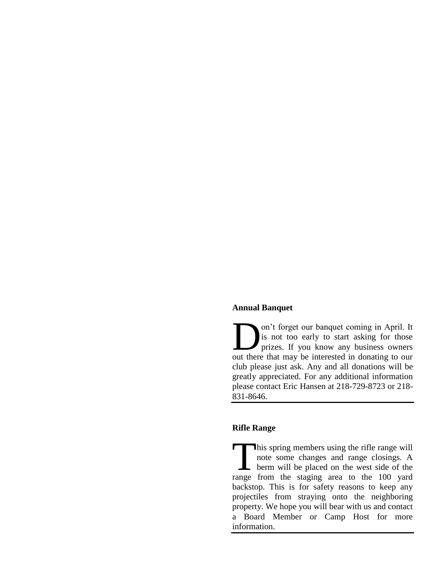### **Annual Banquet**

on't forget our banquet coming in April. It is not too early to start asking for those prizes. If you know any business owners On't forget our banquet coming in April. It is not too early to start asking for those prizes. If you know any business owners out there that may be interested in donating to our club please just ask. Any and all donations will be greatly appreciated. For any additional information please contact Eric Hansen at 218-729-8723 or 218- 831-8646.

### **Rifle Range**

his spring members using the rifle range will note some changes and range closings. A berm will be placed on the west side of the range from the staging area to the 100 yard backstop. This is for safety reasons to keep any projectiles from straying onto the neighboring property. We hope you will bear with us and contact a Board Member or Camp Host for more information.  $\prod_{\text{range}}$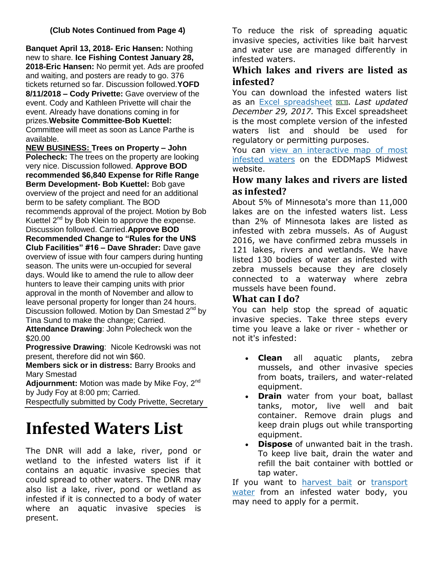# **(Club Notes Continued from Page 4)**

**Banquet April 13, 2018- Eric Hansen:** Nothing new to share. **Ice Fishing Contest January 28, 2018-Eric Hansen:** No permit yet. Ads are proofed and waiting, and posters are ready to go. 376 tickets returned so far. Discussion followed.**YOFD 8/11/2018 – Cody Privette:** Gave overview of the event. Cody and Kathleen Privette will chair the event. Already have donations coming in for prizes.**Website Committee-Bob Kuettel:**  Committee will meet as soon as Lance Parthe is available.

**NEW BUSINESS: Trees on Property – John Polecheck:** The trees on the property are looking very nice. Discussion followed. **Approve BOD recommended \$6,840 Expense for Rifle Range Berm Development- Bob Kuettel:** Bob gave overview of the project and need for an additional berm to be safety compliant. The BOD recommends approval of the project. Motion by Bob Kuettel  $2^{nd}$  by Bob Klein to approve the expense. Discussion followed. Carried.**Approve BOD Recommended Change to "Rules for the UNS Club Facilities" #16 – Dave Shrader:** Dave gave overview of issue with four campers during hunting season. The units were un-occupied for several days. Would like to amend the rule to allow deer hunters to leave their camping units with prior approval in the month of November and allow to leave personal property for longer than 24 hours. Discussion followed. Motion by Dan Smestad  $2<sup>nd</sup>$  by Tina Sund to make the change; Carried.

**Attendance Drawing**: John Polecheck won the \$20.00

**Progressive Drawing**: Nicole Kedrowski was not present, therefore did not win \$60.

**Members sick or in distress:** Barry Brooks and Mary Smestad

Adjournment: Motion was made by Mike Foy, 2<sup>nd</sup> by Judy Foy at 8:00 pm; Carried.

Respectfully submitted by Cody Privette, Secretary

# **Infested Waters List**

The DNR will add a lake, river, pond or wetland to the infested waters list if it contains an aquatic invasive species that could spread to other waters. The DNR may also list a lake, river, pond or wetland as infested if it is connected to a body of water where an aquatic invasive species is present.

To reduce the risk of spreading aquatic invasive species, activities like bait harvest and water use are managed differently in infested waters.

# **Which lakes and rivers are listed as infested?**

You can download the infested waters list as an [Excel spreadsheet](http://files.dnr.state.mn.us/eco/invasives/infested_waters.xlsx) . *Last updated December 29, 2017.* This Excel spreadsheet is the most complete version of the infested waters list and should be used for regulatory or permitting purposes.

You can [view an interactive map of most](http://www.eddmaps.org/midwest/tools/infestedwaters/)  [infested waters](http://www.eddmaps.org/midwest/tools/infestedwaters/) on the EDDMapS Midwest website.

# **How many lakes and rivers are listed as infested?**

About 5% of Minnesota's more than 11,000 lakes are on the infested waters list. Less than 2% of Minnesota lakes are listed as infested with zebra mussels. As of August 2016, we have confirmed zebra mussels in 121 lakes, rivers and wetlands. We have listed 130 bodies of water as infested with zebra mussels because they are closely connected to a waterway where zebra mussels have been found.

# **What can I do?**

You can help stop the spread of aquatic invasive species. Take three steps every time you leave a lake or river - whether or not it's infested:

- **Clean** all aquatic plants, zebra mussels, and other invasive species from boats, trailers, and water-related equipment.
- **Drain** water from your boat, ballast tanks, motor, live well and bait container. Remove drain plugs and keep drain plugs out while transporting equipment.
- **Dispose** of unwanted bait in the trash. To keep live bait, drain the water and refill the bait container with bottled or tap water.

If you want to [harvest bait](http://www.dnr.state.mn.us/fishing/commercial/minnowdealer.html) or transport [water](http://www.dnr.state.mn.us/waters/watermgmt_section/appropriations/permits.html#infested) from an infested water body, you may need to apply for a permit.